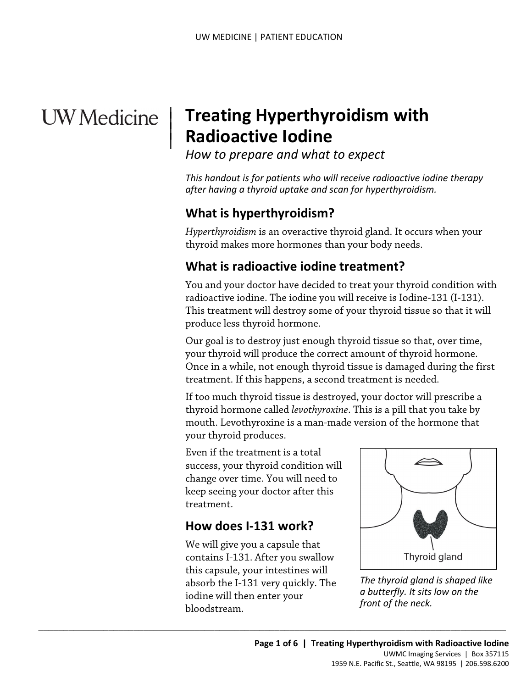# **UW** Medicine

 $\overline{\phantom{a}}$ 

 $\parallel$ 

## | **Treating Hyperthyroidism with Radioactive Iodine**

*How to prepare and what to expect* 

 *after having a thyroid uptake and scan for hyperthyroidism. This handout is for patients who will receive radioactive iodine therapy* 

## **What is hyperthyroidism?**

*Hyperthyroidism* is an overactive thyroid gland. It occurs when your thyroid makes more hormones than your body needs.

## **What is radioactive iodine treatment?**

What is radioactive iodine treatment?<br>You and your doctor have decided to treat your thyroid condition<br>radioactive iodine. The iodine you will receive is Iodine-131 (I-131<br>This treatment will destroy some of your thyroid t You and your doctor have decided to treat your thyroid condition with radioactive iodine. The iodine you will receive is Iodine-131 (I-131). This treatment will destroy some of your thyroid tissue so that it will produce less thyroid hormone.

Our goal is to destroy just enough thyroid tissue so that, over time, your thyroid will produce the correct amount of thyroid hormone. Once in a while, not enough thyroid tissue is damaged during the first treatment. If this happens, a second treatment is needed.

your thyroid produces. If too much thyroid tissue is destroyed, your doctor will prescribe a thyroid hormone called *levothyroxine*. This is a pill that you take by mouth. Levothyroxine is a man-made version of the hormone that

 change over time. You will need to Even if the treatment is a total success, your thyroid condition will keep seeing your doctor after this treatment.

#### **How does I-131 work?**

We will give you a capsule that contains I-131. After you swallow this capsule, your intestines will absorb the I-131 very quickly. The iodine will then enter your bloodstream.

 $\_$  ,  $\_$  ,  $\_$  ,  $\_$  ,  $\_$  ,  $\_$  ,  $\_$  ,  $\_$  ,  $\_$  ,  $\_$  ,  $\_$  ,  $\_$  ,  $\_$  ,  $\_$  ,  $\_$  ,  $\_$  ,  $\_$  ,  $\_$  ,  $\_$  ,  $\_$  ,  $\_$  ,  $\_$  ,  $\_$  ,  $\_$  ,  $\_$  ,  $\_$  ,  $\_$  ,  $\_$  ,  $\_$  ,  $\_$  ,  $\_$  ,  $\_$  ,  $\_$  ,  $\_$  ,  $\_$  ,  $\_$  ,  $\_$  ,



*The thyroid gland is shaped like a butterfly. It sits low on the front of the neck.*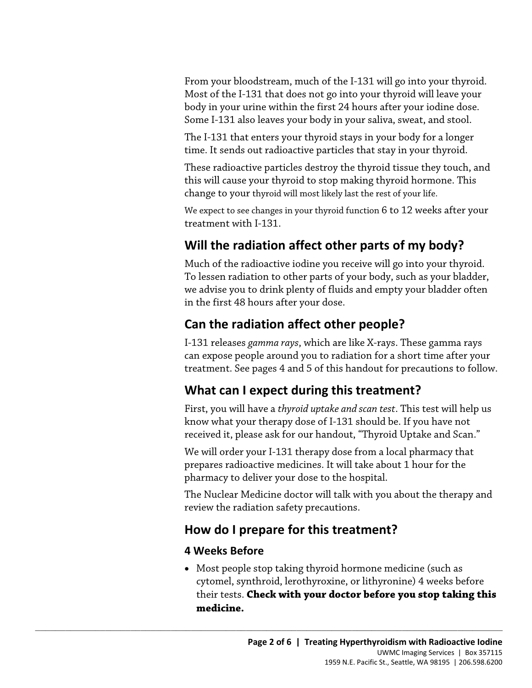Most of the I-131 that does not go into your thyroid will leave your From your bloodstream, much of the I-131 will go into your thyroid. body in your urine within the first 24 hours after your iodine dose. Some I-131 also leaves your body in your saliva, sweat, and stool.

 The I-131 that enters your thyroid stays in your body for a longer time. It sends out radioactive particles that stay in your thyroid.

These radioactive particles destroy the thyroid tissue they touch, and this will cause your thyroid to stop making thyroid hormone. This change to your thyroid will most likely last the rest of your life.

We expect to see changes in your thyroid function 6 to 12 weeks after your treatment with I-131.

## **Will the radiation affect other parts of my body?**

Much of the radioactive iodine you receive will go into your thyroid.<br>To lessen radiation to other parts of your body, such as your bladder<br>we advise you to drink plenty of fluids and empty your bladder often<br>in the first Much of the radioactive iodine you receive will go into your thyroid. To lessen radiation to other parts of your body, such as your bladder, we advise you to drink plenty of fluids and empty your bladder often in the first 48 hours after your dose.

## **Can the radiation affect other people?**

I-131 releases *gamma rays*, which are like X-rays. These gamma rays can expose people around you to radiation for a short time after your treatment. See pages 4 and 5 of this handout for precautions to follow.

## **What can I expect during this treatment?**

First, you will have a *thyroid uptake and scan test*. This test will help us know what your therapy dose of I-131 should be. If you have not received it, please ask for our handout, "Thyroid Uptake and Scan."

We will order your I-131 therapy dose from a local pharmacy that prepares radioactive medicines. It will take about 1 hour for the pharmacy to deliver your dose to the hospital.

The Nuclear Medicine doctor will talk with you about the therapy and review the radiation safety precautions.

## **How do I prepare for this treatment?**

 $\_$  ,  $\_$  ,  $\_$  ,  $\_$  ,  $\_$  ,  $\_$  ,  $\_$  ,  $\_$  ,  $\_$  ,  $\_$  ,  $\_$  ,  $\_$  ,  $\_$  ,  $\_$  ,  $\_$  ,  $\_$  ,  $\_$  ,  $\_$  ,  $\_$  ,  $\_$  ,  $\_$  ,  $\_$  ,  $\_$  ,  $\_$  ,  $\_$  ,  $\_$  ,  $\_$  ,  $\_$  ,  $\_$  ,  $\_$  ,  $\_$  ,  $\_$  ,  $\_$  ,  $\_$  ,  $\_$  ,  $\_$  ,  $\_$  ,

#### **4 Weeks Before**

• Most people stop taking thyroid hormone medicine (such as cytomel, synthroid, lerothyroxine, or lithyronine) 4 weeks before their tests. **Check with your doctor before you stop taking this medicine.**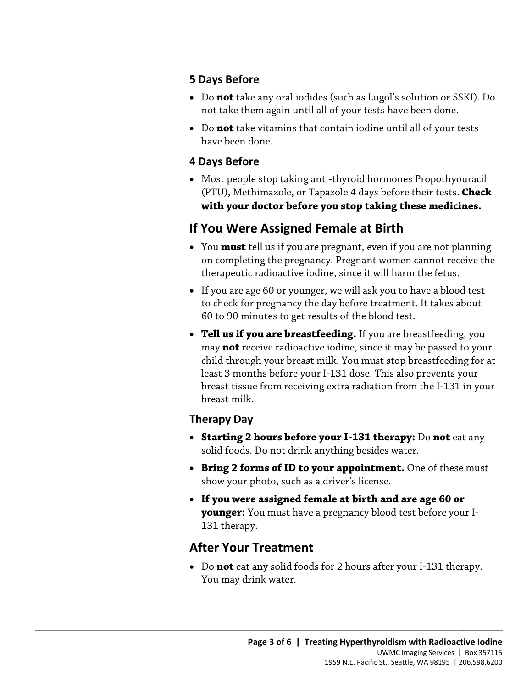#### **5 Days Before**

- Do **not** take any oral iodides (such as Lugol's solution or SSKI). Do not take them again until all of your tests have been done.
- Do **not** take vitamins that contain iodine until all of your tests have been done.

#### **4 Days Before**

• Most people stop taking anti-thyroid hormones Propothyouracil (PTU), Methimazole, or Tapazole 4 days before their tests. **Check with your doctor before you stop taking these medicines.** 

#### **If You Were Assigned Female at Birth**

- You **must** tell us if you are pregnant, even if you are not planning on completing the pregnancy. Pregnant women cannot receive the therapeutic radioactive iodine, since it will harm the fetus.
- % on completing the pregnancy. Pregnant women cannot receive the therapeutic radioactive iodine, since it will harm the fetus.<br>• If you are age 60 or younger, we will ask you to have a blood test<br>to check for pregnancy the • If you are age 60 or younger, we will ask you to have a blood test to check for pregnancy the day before treatment. It takes about 60 to 90 minutes to get results of the blood test.
	- least 3 months before your I-131 dose. This also prevents your • **Tell us if you are breastfeeding.** If you are breastfeeding, you may **not** receive radioactive iodine, since it may be passed to your child through your breast milk. You must stop breastfeeding for at breast tissue from receiving extra radiation from the I-131 in your breast milk.

#### **Therapy Day**

- **Starting 2 hours before your I-131 therapy:** Do **not** eat any solid foods. Do not drink anything besides water.
- **Bring 2 forms of ID to your appointment.** One of these must show your photo, such as a driver's license.
- **If you were assigned female at birth and are age 60 or younger:** You must have a pregnancy blood test before your I-131 therapy.

## **After Your Treatment**

 $\_$  ,  $\_$  ,  $\_$  ,  $\_$  ,  $\_$  ,  $\_$  ,  $\_$  ,  $\_$  ,  $\_$  ,  $\_$  ,  $\_$  ,  $\_$  ,  $\_$  ,  $\_$  ,  $\_$  ,  $\_$  ,  $\_$  ,  $\_$  ,  $\_$  ,  $\_$  ,  $\_$  ,  $\_$  ,  $\_$  ,  $\_$  ,  $\_$  ,  $\_$  ,  $\_$  ,  $\_$  ,  $\_$  ,  $\_$  ,  $\_$  ,  $\_$  ,  $\_$  ,  $\_$  ,  $\_$  ,  $\_$  ,  $\_$  ,

• Do **not** eat any solid foods for 2 hours after your I-131 therapy. You may drink water.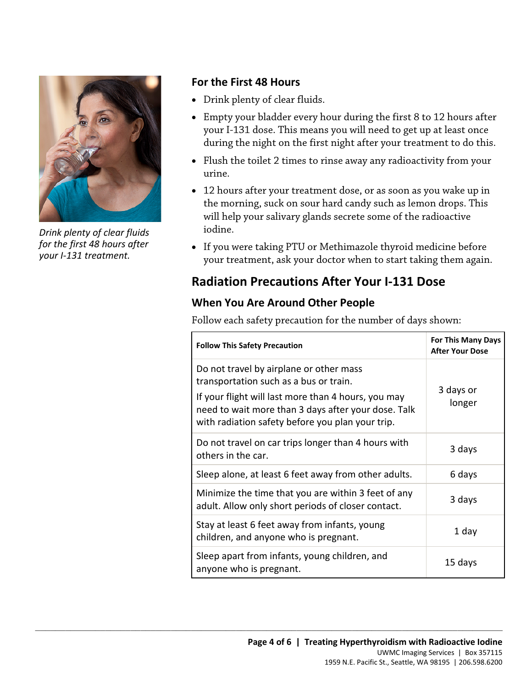

*Drink plenty of clear fluids for the first 48 hours after your I-131 treatment.* 

#### **For the First 48 Hours**

- Drink plenty of clear fluids.
- Empty your bladder every hour during the first 8 to 12 hours after your I-131 dose. This means you will need to get up at least once during the night on the first night after your treatment to do this.
- Flush the toilet 2 times to rinse away any radioactivity from your urine.
- 12 hours after your treatment dose, or as soon as you wake up in the morning, suck on sour hard candy such as lemon drops. This will help your salivary glands secrete some of the radioactive iodine.
- your treatment, ask your doctor when to start taking them again. • If you were taking PTU or Methimazole thyroid medicine before

#### **Radiation Precautions After Your I-131 Dose**

#### **When You Are Around Other People**

 $\_$  ,  $\_$  ,  $\_$  ,  $\_$  ,  $\_$  ,  $\_$  ,  $\_$  ,  $\_$  ,  $\_$  ,  $\_$  ,  $\_$  ,  $\_$  ,  $\_$  ,  $\_$  ,  $\_$  ,  $\_$  ,  $\_$  ,  $\_$  ,  $\_$  ,  $\_$  ,  $\_$  ,  $\_$  ,  $\_$  ,  $\_$  ,  $\_$  ,  $\_$  ,  $\_$  ,  $\_$  ,  $\_$  ,  $\_$  ,  $\_$  ,  $\_$  ,  $\_$  ,  $\_$  ,  $\_$  ,  $\_$  ,  $\_$  ,

|  | your treatment, ask your doctor when to start taking them again.                                                                                                                                                                                    |                                                     |  |
|--|-----------------------------------------------------------------------------------------------------------------------------------------------------------------------------------------------------------------------------------------------------|-----------------------------------------------------|--|
|  | <b>Radiation Precautions After Your I-131 Dose</b><br><b>When You Are Around Other People</b><br>Follow each safety precaution for the number of days shown:                                                                                        |                                                     |  |
|  |                                                                                                                                                                                                                                                     |                                                     |  |
|  |                                                                                                                                                                                                                                                     |                                                     |  |
|  | <b>Follow This Safety Precaution</b>                                                                                                                                                                                                                | <b>For This Many Days</b><br><b>After Your Dose</b> |  |
|  | Do not travel by airplane or other mass<br>transportation such as a bus or train.<br>If your flight will last more than 4 hours, you may<br>need to wait more than 3 days after your dose. Talk<br>with radiation safety before you plan your trip. | 3 days or<br>longer                                 |  |
|  | Do not travel on car trips longer than 4 hours with<br>others in the car.                                                                                                                                                                           | 3 days                                              |  |
|  | Sleep alone, at least 6 feet away from other adults.                                                                                                                                                                                                | 6 days                                              |  |
|  | Minimize the time that you are within 3 feet of any<br>adult. Allow only short periods of closer contact.                                                                                                                                           | 3 days                                              |  |
|  | Stay at least 6 feet away from infants, young<br>children, and anyone who is pregnant.                                                                                                                                                              | 1 day                                               |  |
|  | Sleep apart from infants, young children, and<br>anyone who is pregnant.                                                                                                                                                                            | 15 days                                             |  |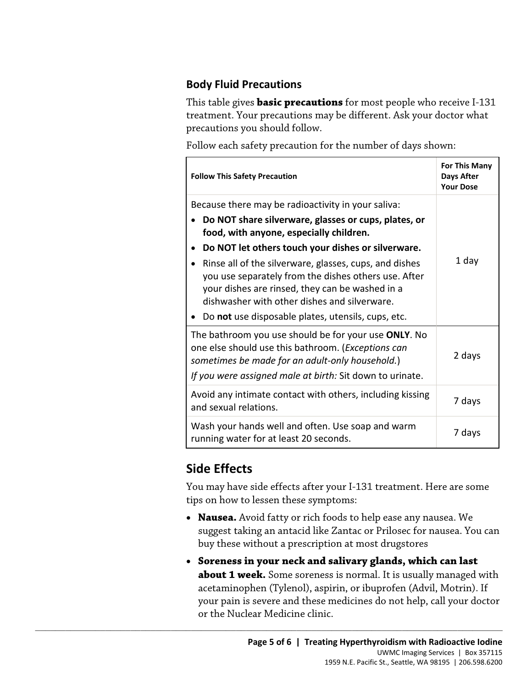#### **Body Fluid Precautions**

This table gives **basic precautions** for most people who receive I-131 treatment. Your precautions may be different. Ask your doctor what precautions you should follow.

Follow each safety precaution for the number of days shown:

| <b>Follow This Safety Precaution</b>                                                                                                                                                                                      | <b>For This Many</b><br><b>Days After</b><br><b>Your Dose</b> |
|---------------------------------------------------------------------------------------------------------------------------------------------------------------------------------------------------------------------------|---------------------------------------------------------------|
| Because there may be radioactivity in your saliva:                                                                                                                                                                        | 1 day                                                         |
| Do NOT share silverware, glasses or cups, plates, or<br>food, with anyone, especially children.                                                                                                                           |                                                               |
| Do NOT let others touch your dishes or silverware.                                                                                                                                                                        |                                                               |
| Rinse all of the silverware, glasses, cups, and dishes<br>you use separately from the dishes others use. After<br>your dishes are rinsed, they can be washed in a<br>dishwasher with other dishes and silverware.         |                                                               |
| Do not use disposable plates, utensils, cups, etc.                                                                                                                                                                        |                                                               |
| The bathroom you use should be for your use ONLY. No<br>one else should use this bathroom. (Exceptions can<br>sometimes be made for an adult-only household.)<br>If you were assigned male at birth: Sit down to urinate. | 2 days                                                        |
| Avoid any intimate contact with others, including kissing<br>and sexual relations.                                                                                                                                        | 7 days                                                        |
| Wash your hands well and often. Use soap and warm<br>running water for at least 20 seconds.                                                                                                                               | 7 days                                                        |

## **Side Effects**

You may have side effects after your I-131 treatment. Here are some tips on how to lessen these symptoms:

- **Nausea.** Avoid fatty or rich foods to help ease any nausea. We suggest taking an antacid like Zantac or Prilosec for nausea. You can buy these without a prescription at most drugstores
- **Soreness in your neck and salivary glands, which can last about 1 week.** Some soreness is normal. It is usually managed with acetaminophen (Tylenol), aspirin, or ibuprofen (Advil, Motrin). If your pain is severe and these medicines do not help, call your doctor or the Nuclear Medicine clinic.

 $\_$  ,  $\_$  ,  $\_$  ,  $\_$  ,  $\_$  ,  $\_$  ,  $\_$  ,  $\_$  ,  $\_$  ,  $\_$  ,  $\_$  ,  $\_$  ,  $\_$  ,  $\_$  ,  $\_$  ,  $\_$  ,  $\_$  ,  $\_$  ,  $\_$  ,  $\_$  ,  $\_$  ,  $\_$  ,  $\_$  ,  $\_$  ,  $\_$  ,  $\_$  ,  $\_$  ,  $\_$  ,  $\_$  ,  $\_$  ,  $\_$  ,  $\_$  ,  $\_$  ,  $\_$  ,  $\_$  ,  $\_$  ,  $\_$  ,